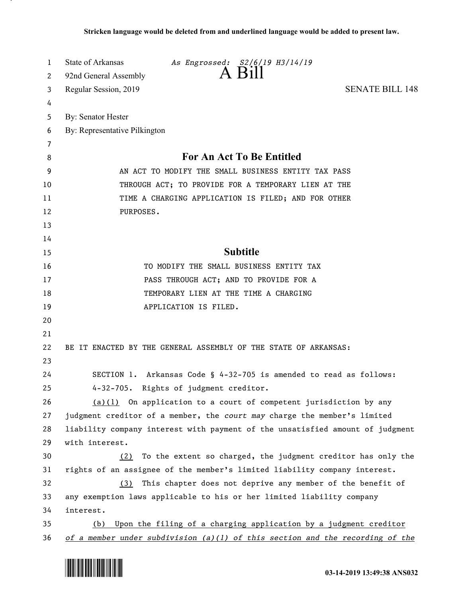| 1  | State of Arkansas<br>As Engrossed: S2/6/19 H3/14/19                             |
|----|---------------------------------------------------------------------------------|
| 2  | A Bill<br>92nd General Assembly                                                 |
| 3  | <b>SENATE BILL 148</b><br>Regular Session, 2019                                 |
| 4  |                                                                                 |
| 5  | <b>By: Senator Hester</b>                                                       |
| 6  | By: Representative Pilkington                                                   |
| 7  |                                                                                 |
| 8  | <b>For An Act To Be Entitled</b>                                                |
| 9  | AN ACT TO MODIFY THE SMALL BUSINESS ENTITY TAX PASS                             |
| 10 | THROUGH ACT; TO PROVIDE FOR A TEMPORARY LIEN AT THE                             |
| 11 | TIME A CHARGING APPLICATION IS FILED; AND FOR OTHER                             |
| 12 | PURPOSES.                                                                       |
| 13 |                                                                                 |
| 14 |                                                                                 |
| 15 | <b>Subtitle</b>                                                                 |
| 16 | TO MODIFY THE SMALL BUSINESS ENTITY TAX                                         |
| 17 | PASS THROUGH ACT; AND TO PROVIDE FOR A                                          |
| 18 | TEMPORARY LIEN AT THE TIME A CHARGING                                           |
| 19 | APPLICATION IS FILED.                                                           |
| 20 |                                                                                 |
| 21 |                                                                                 |
| 22 | BE IT ENACTED BY THE GENERAL ASSEMBLY OF THE STATE OF ARKANSAS:                 |
| 23 |                                                                                 |
| 24 | SECTION 1. Arkansas Code § 4-32-705 is amended to read as follows:              |
| 25 | 4-32-705. Rights of judgment creditor.                                          |
| 26 | $(a)(1)$ On application to a court of competent jurisdiction by any             |
| 27 | judgment creditor of a member, the court may charge the member's limited        |
| 28 | liability company interest with payment of the unsatisfied amount of judgment   |
| 29 | with interest.                                                                  |
| 30 | To the extent so charged, the judgment creditor has only the<br>(2)             |
| 31 | rights of an assignee of the member's limited liability company interest.       |
| 32 | This chapter does not deprive any member of the benefit of<br>(3)               |
| 33 | any exemption laws applicable to his or her limited liability company           |
| 34 | interest.                                                                       |
| 35 | (b) Upon the filing of a charging application by a judgment creditor            |
| 36 | of a member under subdivision $(a)(1)$ of this section and the recording of the |